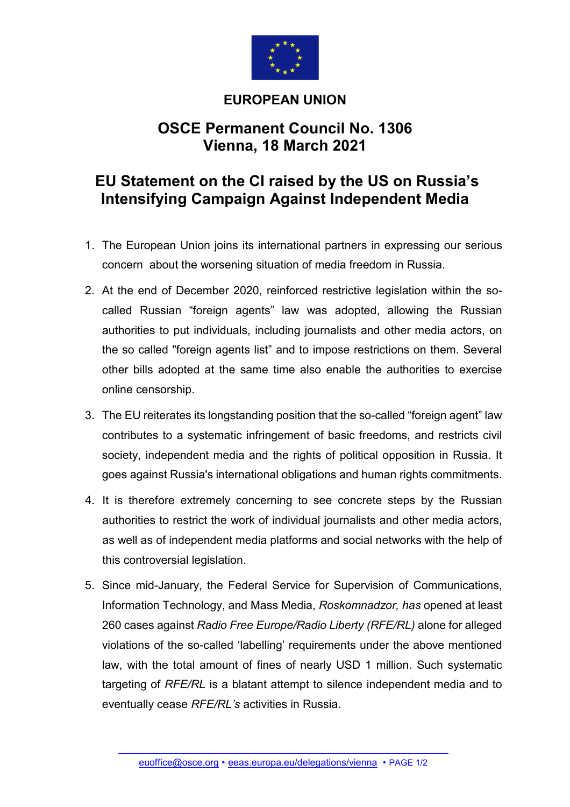

## **EUROPEAN UNION**

## **OSCE Permanent Council No. 1306 Vienna, 18 March 2021**

## **EU Statement on the CI raised by the US on Russia's Intensifying Campaign Against Independent Media**

- 1. The European Union joins its international partners in expressing our serious concern about the worsening situation of media freedom in Russia.
- 2. At the end of December 2020, reinforced restrictive legislation within the socalled Russian "foreign agents" law was adopted, allowing the Russian authorities to put individuals, including journalists and other media actors, on the so called "foreign agents list" and to impose restrictions on them. Several other bills adopted at the same time also enable the authorities to exercise online censorship.
- 3. The EU reiterates its longstanding position that the so-called "foreign agent" law contributes to a systematic infringement of basic freedoms, and restricts civil society, independent media and the rights of political opposition in Russia. It goes against Russia's international obligations and human rights commitments.
- 4. It is therefore extremely concerning to see concrete steps by the Russian authorities to restrict the work of individual journalists and other media actors, as well as of independent media platforms and social networks with the help of this controversial legislation.
- 5. Since mid-January, the Federal Service for Supervision of Communications, Information Technology, and Mass Media, *Roskomnadzor, has* opened at least 260 cases against *Radio Free Europe/Radio Liberty (RFE/RL)* alone for alleged violations of the so-called 'labelling' requirements under the above mentioned law, with the total amount of fines of nearly USD 1 million. Such systematic targeting of *RFE/RL* is a blatant attempt to silence independent media and to eventually cease *RFE/RL's* activities in Russia.